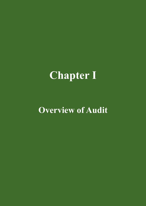# **Chapter I**

# **Overview of Audit**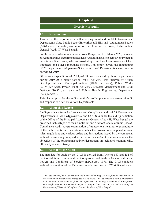## **Chapter-I**

#### **Overview of Audit**

#### **1.1 Introduction**

This part of the Report covers matters arising out of audit of State Government Departments, State Public Sector Enterprises (SPSEs) and Autonomous Bodies (ABs) under the audit jurisdiction of the Office of the Principal Accountant General (Audit-II) West Bengal.

For the purpose of administration in West Bengal, as of 31 March 2020, there are 58 Administrative Departments headed by Additional Chief Secretaries/ Principal Secretaries/ Secretaries, who are assisted by Directors/ Commissioners/ Chief Engineers and other subordinate officers. This report covers the functioning of 23 Departments (Appendix-1) including two<sup>1</sup> Departments carved out in November 2019.

Of the total expenditure of  $\bar{\tau}$  29,842.38 crore incurred by these Departments during 2019-20, a major portion (80.77 *per cent*) was incurred by Urban Development and Municipal Affairs (28.09 *per cent*), Public Works (23.74 *per cent*), Power (10.56 *per cent*), Disaster Management and Civil Defence (10.32 *per cent*) and Public Health Engineering Department (8.06 *per cent*).

This chapter provides the audited entity's profile, planning and extent of audit and response to Audit by various Departments.

#### **1.2 About this Report**

Findings arising from Performance and Compliance audit of 23 Government Departments, 43 ABs *(Appendix-2)* and 63 SPSEs under the audit jurisdiction of the Office of the Principal Accountant General (Audit-II) West Bengal are presented in this Report of the Comptroller and Auditor General of India (CAG). Compliance Audit covers examination of transactions relating to expenditure of the audited entities to ascertain whether the provisions of applicable laws, rules, regulations and various orders and instructions issued by the competent authorities are being complied with. Performance Audit examines whether the objectives of the programme/activity/department are achieved economically, efficiently and effectively.

#### **1.3 Authority for Audit**

The mandate for audit by the CAG is derived from Articles 149 and 151 of the Constitution of India and the Comptroller and Auditor General's (Duties, Powers and Conditions of Service) (DPC) Act, 1971. The CAG conducts audit of expenditure of the Departments of Government of West Bengal under

<sup>1</sup> *The Department of Non-Conventional and Renewable Energy Sources from the Department of Power and non-conventional Energy Sources as well as the Department of Public Enterprises and Industrial Reconstruction from the Department of Industry, Commerce & Enterprises, vide notification No. 858-Home (Cons)/R2R(Cons)-08/2016 dated 15 November 2019 of the Department of Home & Hill Affairs, Co-ord. Br., Govt. of West Bengal.*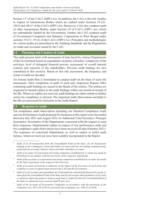Section 13<sup>2</sup> of the CAG's (DPC) Act. In addition, the CAG is the sole Auditor in respect of Autonomous Bodies which are audited under Sections 19  $(2)^3$ ,  $19(3)^4$  and  $20(1)^5$  of the CAG's (DPC) Act. Moreover, CAG also conducts audit of other Autonomous Bodies, under Section 146 of CAG's (DPC) Act, which are substantially funded by the Government. Further, the CAG conducts audit of Government Companies and Statutory Corporations in West Bengal under sections  $19(1)^7$ ,  $19(2)$  of the CAG's (DPC) Act. Principles and methodologies for various audits are prescribed in the Auditing Standards and the Regulations on Audit and Accounts issued by the CAG.

### **1.4 Planning and Conduct of Audit**

The audit process starts with assessment of risks faced by various Departments of the Government based on expenditure incurred, criticality/ complexity of the activities, level of delegated financial powers, assessment of overall internal controls and concerns of the stakeholders. Previous audit findings are also considered in this exercise. Based on this risk assessment, the frequency and extent of audit are decided.

An Annual Audit Plan is formulated to conduct audit on the basis of such risk assessment. After completion of audit of each unit, Inspection Reports (IRs) containing audit findings are issued to the Heads of the entities. The entities are requested to furnish replies to the audit findings within one month of receipt of the IRs. Wherever replies are received, audit findings are either settled or further action for compliance is advised. The important audit observations included in the IRs are processed for inclusion in the Audit Report.

#### **1.5 Response to Audit**

Ten compliance audit observations including one Detailed Compliance Audit and one Performance Audit proposed for inclusion in this report were forwarded (between July 2021 and August 2021) to Additional Chief Secretary/ Principal Secretaries/ Secretaries of the Departments concerned with the request to send their responses. Departmental replies in respect of one performance audit and two compliance audit observations have been received till date (October 2021). The responses of concerned Departments as well as replies to initial audit memos, wherever received, have been suitably incorporated in the Report.

<sup>2</sup> *Audit of (i) all transactions from the Consolidated Fund of the State, (ii) all transactions relating to the Contingency Fund and Public Accounts and (iii) all trading, manufacturing, profit and loss accounts, balance sheets and other subsidiary accounts.*

<sup>3</sup> *Audit of accounts of Corporation (not being companies) established by or under law made by Parliament in accordance with the provisions of the respective legislations.*

<sup>4</sup> *Audit of the accounts of corporations (not being companies) established by or under law made by the State Legislature at the request of the Governor.*

<sup>5</sup> *Audit of accounts of anybody or authority on the request of the Governor, on such terms and conditions as may be agreed upon between the CAG and the Government.*

<sup>6</sup> *Audit of (i) all receipts and expenditure of a body/authority substantially financed by grants or loans from the Consolidated Fund of the State and (ii) all receipts and expenditure of any body or authority where the grants or loans to such body or authority from the Consolidated fund of the State in a financial year is not less than*  $\bar{\xi}$  *one crore.* 

<sup>7</sup> *Audit of the accounts of Government Companies in accordance with the provisions of the Companies Act, 2013 (18 of 2013), previously the Companies Act, 1956 (1 of 1956).*